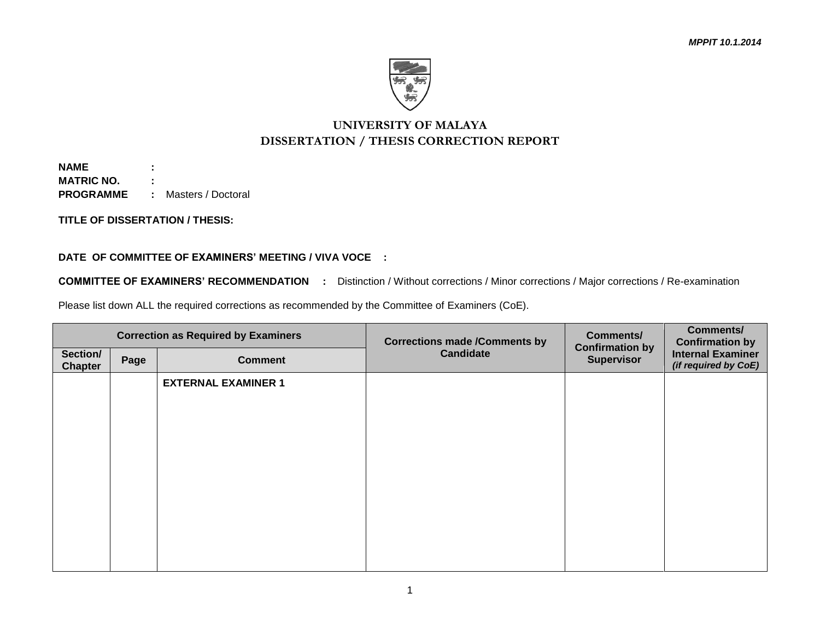

## **UNIVERSITY OF MALAYA DISSERTATION / THESIS CORRECTION REPORT**

**NAME : MATRIC NO. : PROGRAMME :** Masters / Doctoral

**TITLE OF DISSERTATION / THESIS:**

## **DATE OF COMMITTEE OF EXAMINERS' MEETING / VIVA VOCE :**

**COMMITTEE OF EXAMINERS' RECOMMENDATION :** Distinction / Without corrections / Minor corrections / Major corrections / Re-examination

Please list down ALL the required corrections as recommended by the Committee of Examiners (CoE).

| <b>Correction as Required by Examiners</b> |      |                            | <b>Corrections made /Comments by</b> | <b>Comments/</b><br><b>Confirmation by</b> | <b>Comments/</b><br><b>Confirmation by</b>       |
|--------------------------------------------|------|----------------------------|--------------------------------------|--------------------------------------------|--------------------------------------------------|
| Section/<br><b>Chapter</b>                 | Page | <b>Comment</b>             | <b>Candidate</b>                     | <b>Supervisor</b>                          | <b>Internal Examiner</b><br>(if required by CoE) |
|                                            |      | <b>EXTERNAL EXAMINER 1</b> |                                      |                                            |                                                  |
|                                            |      |                            |                                      |                                            |                                                  |
|                                            |      |                            |                                      |                                            |                                                  |
|                                            |      |                            |                                      |                                            |                                                  |
|                                            |      |                            |                                      |                                            |                                                  |
|                                            |      |                            |                                      |                                            |                                                  |
|                                            |      |                            |                                      |                                            |                                                  |
|                                            |      |                            |                                      |                                            |                                                  |
|                                            |      |                            |                                      |                                            |                                                  |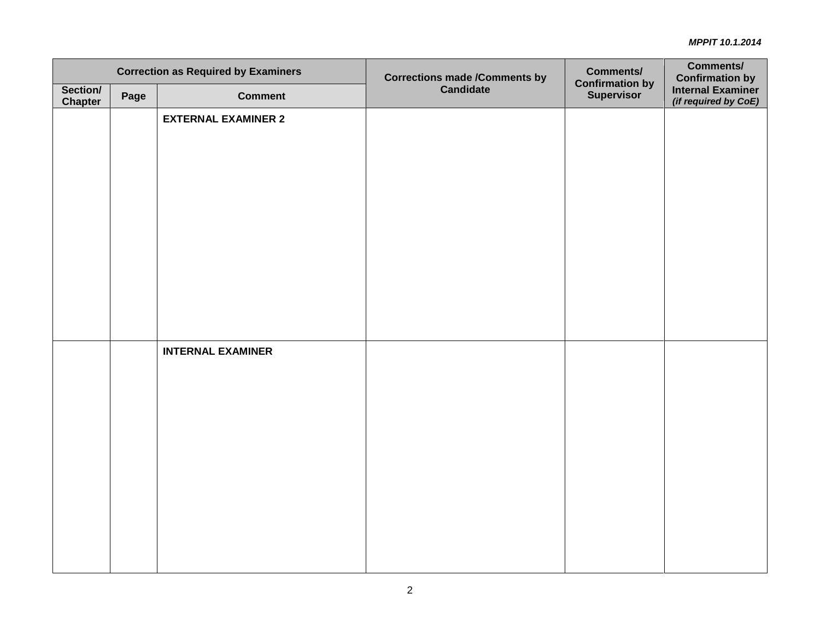| <b>Correction as Required by Examiners</b> |      |                            | <b>Corrections made /Comments by<br/>Candidate</b> | <b>Comments/</b>                            | <b>Comments/</b>                                                    |
|--------------------------------------------|------|----------------------------|----------------------------------------------------|---------------------------------------------|---------------------------------------------------------------------|
| Section/<br><b>Chapter</b>                 | Page | <b>Comment</b>             |                                                    | <b>Confirmation by</b><br><b>Supervisor</b> | <b>Confirmation by</b><br>Internal Examiner<br>(if required by CoE) |
|                                            |      | <b>EXTERNAL EXAMINER 2</b> |                                                    |                                             |                                                                     |
|                                            |      |                            |                                                    |                                             |                                                                     |
|                                            |      |                            |                                                    |                                             |                                                                     |
|                                            |      |                            |                                                    |                                             |                                                                     |
|                                            |      |                            |                                                    |                                             |                                                                     |
|                                            |      |                            |                                                    |                                             |                                                                     |
|                                            |      |                            |                                                    |                                             |                                                                     |
|                                            |      |                            |                                                    |                                             |                                                                     |
|                                            |      |                            |                                                    |                                             |                                                                     |
|                                            |      | <b>INTERNAL EXAMINER</b>   |                                                    |                                             |                                                                     |
|                                            |      |                            |                                                    |                                             |                                                                     |
|                                            |      |                            |                                                    |                                             |                                                                     |
|                                            |      |                            |                                                    |                                             |                                                                     |
|                                            |      |                            |                                                    |                                             |                                                                     |
|                                            |      |                            |                                                    |                                             |                                                                     |
|                                            |      |                            |                                                    |                                             |                                                                     |
|                                            |      |                            |                                                    |                                             |                                                                     |
|                                            |      |                            |                                                    |                                             |                                                                     |